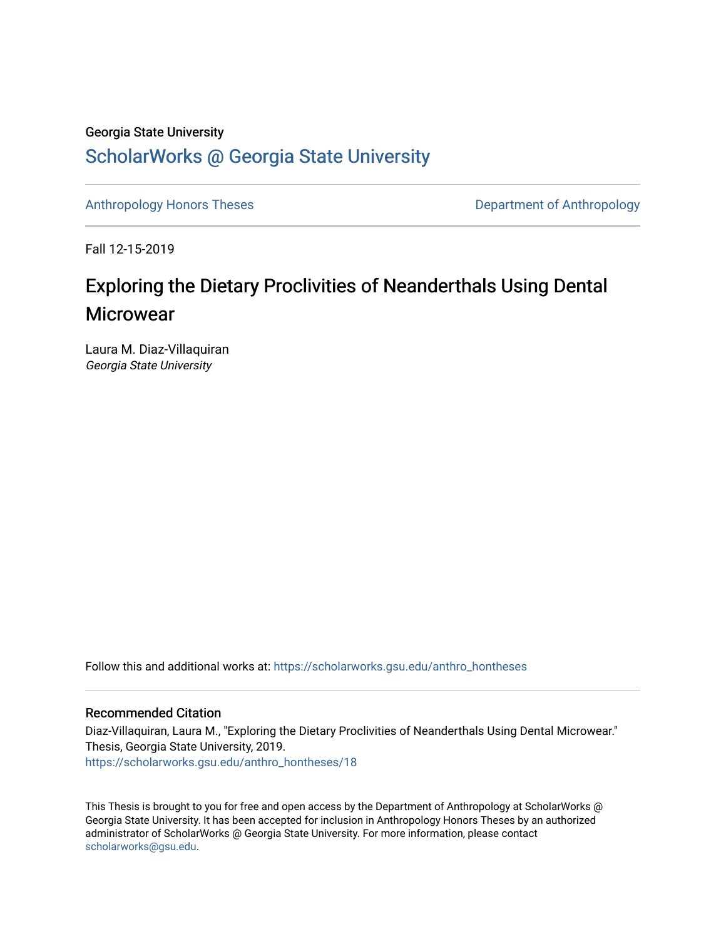# Georgia State University

# [ScholarWorks @ Georgia State University](https://scholarworks.gsu.edu/)

[Anthropology Honors Theses](https://scholarworks.gsu.edu/anthro_hontheses) **Department of Anthropology** 

Fall 12-15-2019

# Exploring the Dietary Proclivities of Neanderthals Using Dental **Microwear**

Laura M. Diaz-Villaquiran Georgia State University

Follow this and additional works at: [https://scholarworks.gsu.edu/anthro\\_hontheses](https://scholarworks.gsu.edu/anthro_hontheses?utm_source=scholarworks.gsu.edu%2Fanthro_hontheses%2F18&utm_medium=PDF&utm_campaign=PDFCoverPages) 

# Recommended Citation

Diaz-Villaquiran, Laura M., "Exploring the Dietary Proclivities of Neanderthals Using Dental Microwear." Thesis, Georgia State University, 2019. [https://scholarworks.gsu.edu/anthro\\_hontheses/18](https://scholarworks.gsu.edu/anthro_hontheses/18?utm_source=scholarworks.gsu.edu%2Fanthro_hontheses%2F18&utm_medium=PDF&utm_campaign=PDFCoverPages)

This Thesis is brought to you for free and open access by the Department of Anthropology at ScholarWorks @ Georgia State University. It has been accepted for inclusion in Anthropology Honors Theses by an authorized administrator of ScholarWorks @ Georgia State University. For more information, please contact [scholarworks@gsu.edu.](mailto:scholarworks@gsu.edu)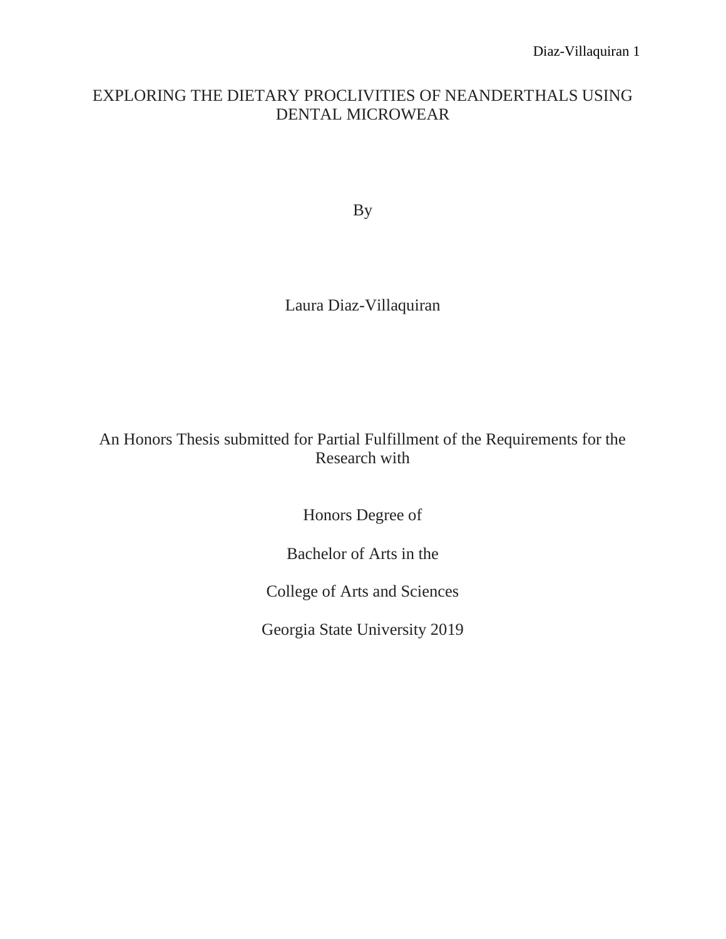# EXPLORING THE DIETARY PROCLIVITIES OF NEANDERTHALS USING DENTAL MICROWEAR

By

Laura Diaz-Villaquiran

# An Honors Thesis submitted for Partial Fulfillment of the Requirements for the Research with

Honors Degree of

Bachelor of Arts in the

College of Arts and Sciences

Georgia State University 2019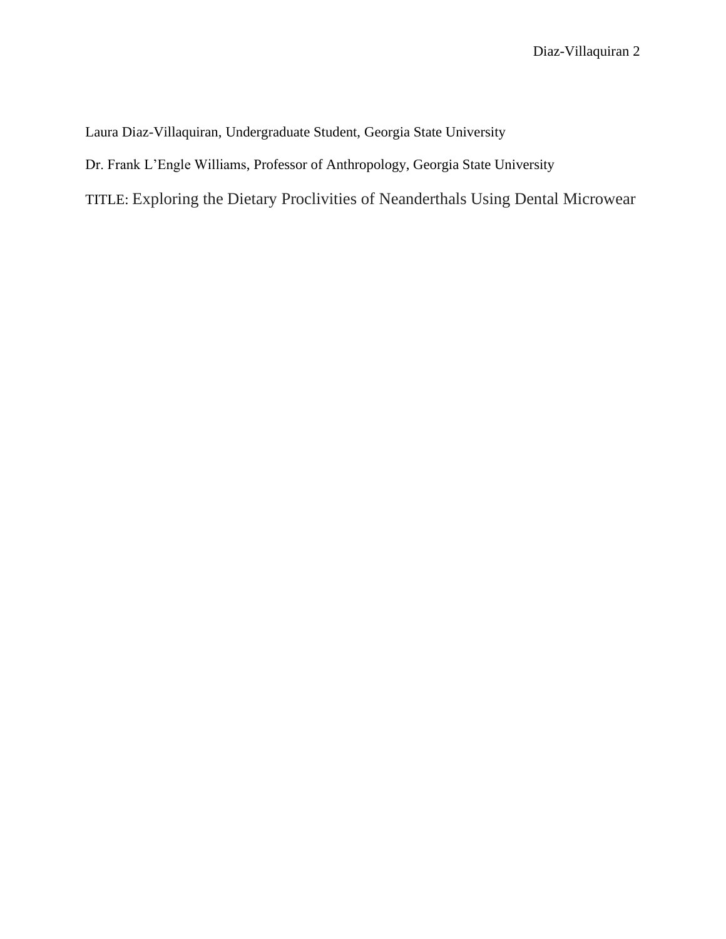Laura Diaz-Villaquiran, Undergraduate Student, Georgia State University

Dr. Frank L'Engle Williams, Professor of Anthropology, Georgia State University

TITLE: Exploring the Dietary Proclivities of Neanderthals Using Dental Microwear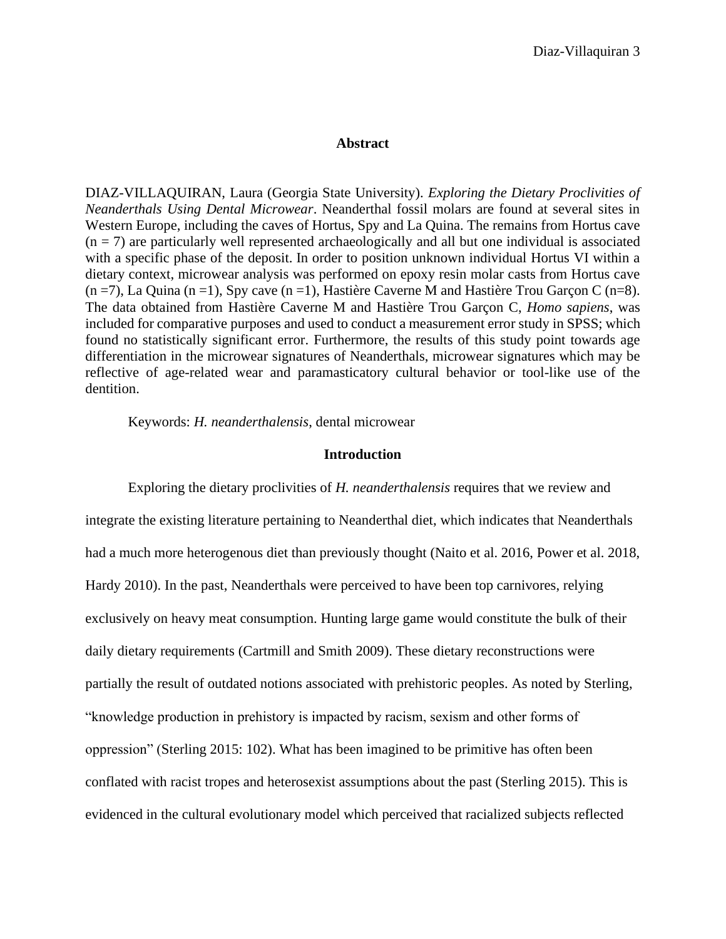# **Abstract**

DIAZ-VILLAQUIRAN, Laura (Georgia State University). *Exploring the Dietary Proclivities of Neanderthals Using Dental Microwear*. Neanderthal fossil molars are found at several sites in Western Europe, including the caves of Hortus, Spy and La Quina. The remains from Hortus cave  $(n = 7)$  are particularly well represented archaeologically and all but one individual is associated with a specific phase of the deposit. In order to position unknown individual Hortus VI within a dietary context, microwear analysis was performed on epoxy resin molar casts from Hortus cave  $(n = 7)$ , La Quina  $(n = 1)$ , Spy cave  $(n = 1)$ , Hastière Caverne M and Hastière Trou Garçon C  $(n = 8)$ . The data obtained from Hastière Caverne M and Hastière Trou Garçon C, *Homo sapiens*, was included for comparative purposes and used to conduct a measurement error study in SPSS; which found no statistically significant error. Furthermore, the results of this study point towards age differentiation in the microwear signatures of Neanderthals, microwear signatures which may be reflective of age-related wear and paramasticatory cultural behavior or tool-like use of the dentition.

Keywords: *H. neanderthalensis*, dental microwear

#### **Introduction**

Exploring the dietary proclivities of *H. neanderthalensis* requires that we review and integrate the existing literature pertaining to Neanderthal diet, which indicates that Neanderthals had a much more heterogenous diet than previously thought (Naito et al. 2016, Power et al. 2018, Hardy 2010). In the past, Neanderthals were perceived to have been top carnivores, relying exclusively on heavy meat consumption. Hunting large game would constitute the bulk of their daily dietary requirements (Cartmill and Smith 2009). These dietary reconstructions were partially the result of outdated notions associated with prehistoric peoples. As noted by Sterling, "knowledge production in prehistory is impacted by racism, sexism and other forms of oppression" (Sterling 2015: 102). What has been imagined to be primitive has often been conflated with racist tropes and heterosexist assumptions about the past (Sterling 2015). This is evidenced in the cultural evolutionary model which perceived that racialized subjects reflected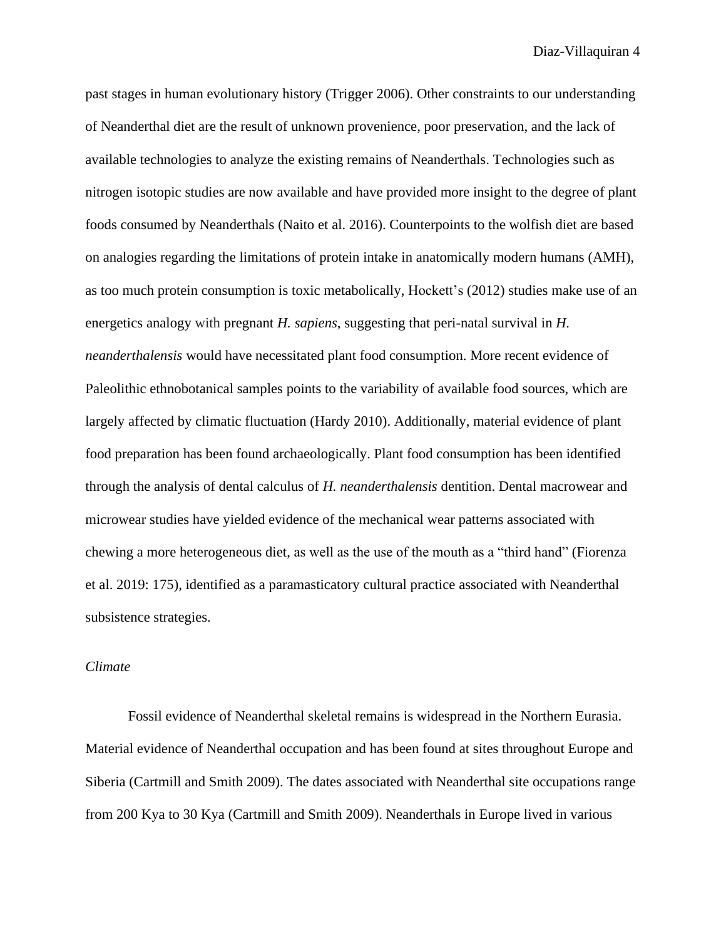past stages in human evolutionary history (Trigger 2006). Other constraints to our understanding of Neanderthal diet are the result of unknown provenience, poor preservation, and the lack of available technologies to analyze the existing remains of Neanderthals. Technologies such as nitrogen isotopic studies are now available and have provided more insight to the degree of plant foods consumed by Neanderthals (Naito et al. 2016). Counterpoints to the wolfish diet are based on analogies regarding the limitations of protein intake in anatomically modern humans (AMH), as too much protein consumption is toxic metabolically, Hockett's (2012) studies make use of an energetics analogy with pregnant *H. sapiens*, suggesting that peri-natal survival in *H. neanderthalensis* would have necessitated plant food consumption. More recent evidence of Paleolithic ethnobotanical samples points to the variability of available food sources, which are largely affected by climatic fluctuation (Hardy 2010). Additionally, material evidence of plant food preparation has been found archaeologically. Plant food consumption has been identified through the analysis of dental calculus of *H. neanderthalensis* dentition. Dental macrowear and microwear studies have yielded evidence of the mechanical wear patterns associated with chewing a more heterogeneous diet, as well as the use of the mouth as a "third hand" (Fiorenza et al. 2019: 175), identified as a paramasticatory cultural practice associated with Neanderthal subsistence strategies.

#### *Climate*

Fossil evidence of Neanderthal skeletal remains is widespread in the Northern Eurasia. Material evidence of Neanderthal occupation and has been found at sites throughout Europe and Siberia (Cartmill and Smith 2009). The dates associated with Neanderthal site occupations range from 200 Kya to 30 Kya (Cartmill and Smith 2009). Neanderthals in Europe lived in various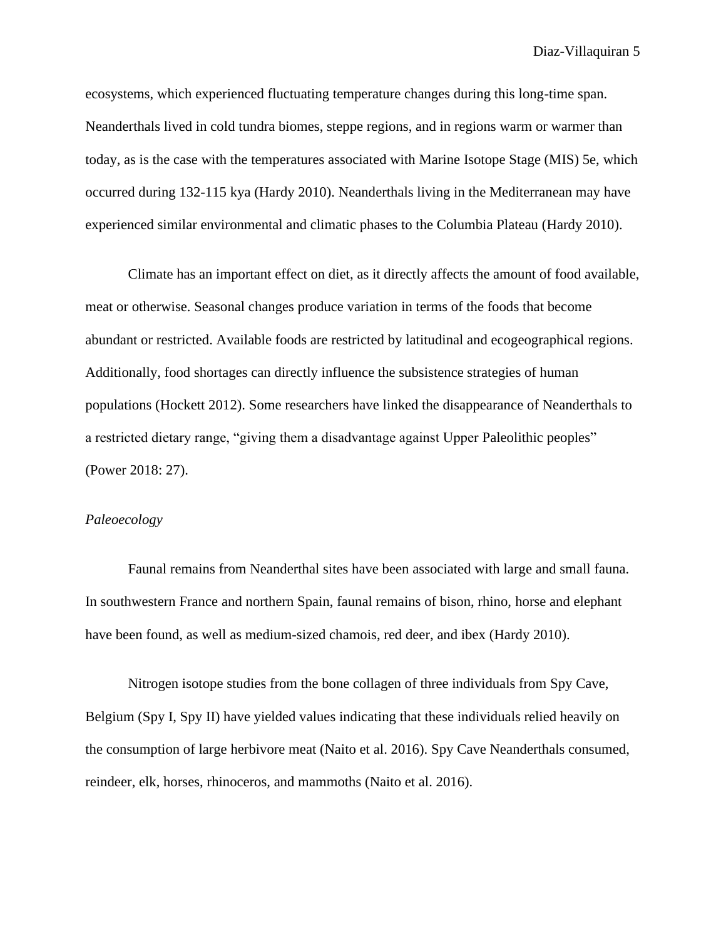ecosystems, which experienced fluctuating temperature changes during this long-time span. Neanderthals lived in cold tundra biomes, steppe regions, and in regions warm or warmer than today, as is the case with the temperatures associated with Marine Isotope Stage (MIS) 5e, which occurred during 132-115 kya (Hardy 2010). Neanderthals living in the Mediterranean may have experienced similar environmental and climatic phases to the Columbia Plateau (Hardy 2010).

Climate has an important effect on diet, as it directly affects the amount of food available, meat or otherwise. Seasonal changes produce variation in terms of the foods that become abundant or restricted. Available foods are restricted by latitudinal and ecogeographical regions. Additionally, food shortages can directly influence the subsistence strategies of human populations (Hockett 2012). Some researchers have linked the disappearance of Neanderthals to a restricted dietary range, "giving them a disadvantage against Upper Paleolithic peoples" (Power 2018: 27).

## *Paleoecology*

Faunal remains from Neanderthal sites have been associated with large and small fauna. In southwestern France and northern Spain, faunal remains of bison, rhino, horse and elephant have been found, as well as medium-sized chamois, red deer, and ibex (Hardy 2010).

Nitrogen isotope studies from the bone collagen of three individuals from Spy Cave, Belgium (Spy I, Spy II) have yielded values indicating that these individuals relied heavily on the consumption of large herbivore meat (Naito et al. 2016). Spy Cave Neanderthals consumed, reindeer, elk, horses, rhinoceros, and mammoths (Naito et al. 2016).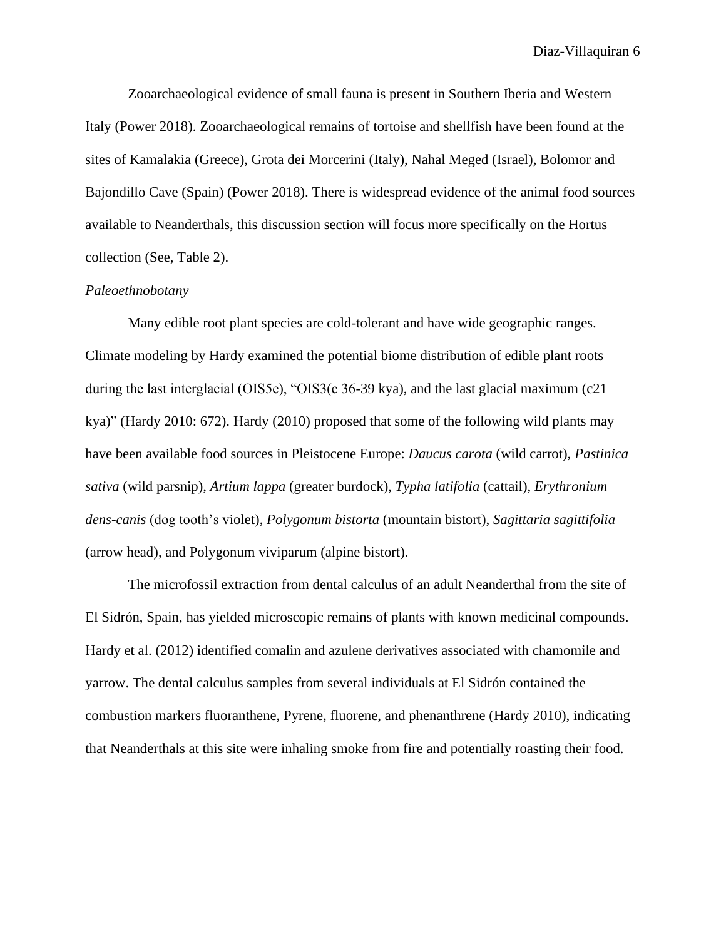Zooarchaeological evidence of small fauna is present in Southern Iberia and Western Italy (Power 2018). Zooarchaeological remains of tortoise and shellfish have been found at the sites of Kamalakia (Greece), Grota dei Morcerini (Italy), Nahal Meged (Israel), Bolomor and Bajondillo Cave (Spain) (Power 2018). There is widespread evidence of the animal food sources available to Neanderthals, this discussion section will focus more specifically on the Hortus collection (See, Table 2).

## *Paleoethnobotany*

Many edible root plant species are cold-tolerant and have wide geographic ranges. Climate modeling by Hardy examined the potential biome distribution of edible plant roots during the last interglacial (OIS5e), "OIS3(c 36-39 kya), and the last glacial maximum (c21 kya)" (Hardy 2010: 672). Hardy (2010) proposed that some of the following wild plants may have been available food sources in Pleistocene Europe: *Daucus carota* (wild carrot), *Pastinica sativa* (wild parsnip), *Artium lappa* (greater burdock), *Typha latifolia* (cattail), *Erythronium dens-canis* (dog tooth's violet), *Polygonum bistorta* (mountain bistort), *Sagittaria sagittifolia* (arrow head), and Polygonum viviparum (alpine bistort).

The microfossil extraction from dental calculus of an adult Neanderthal from the site of El Sidrón, Spain, has yielded microscopic remains of plants with known medicinal compounds. Hardy et al. (2012) identified comalin and azulene derivatives associated with chamomile and yarrow. The dental calculus samples from several individuals at El Sidrón contained the combustion markers fluoranthene, Pyrene, fluorene, and phenanthrene (Hardy 2010), indicating that Neanderthals at this site were inhaling smoke from fire and potentially roasting their food.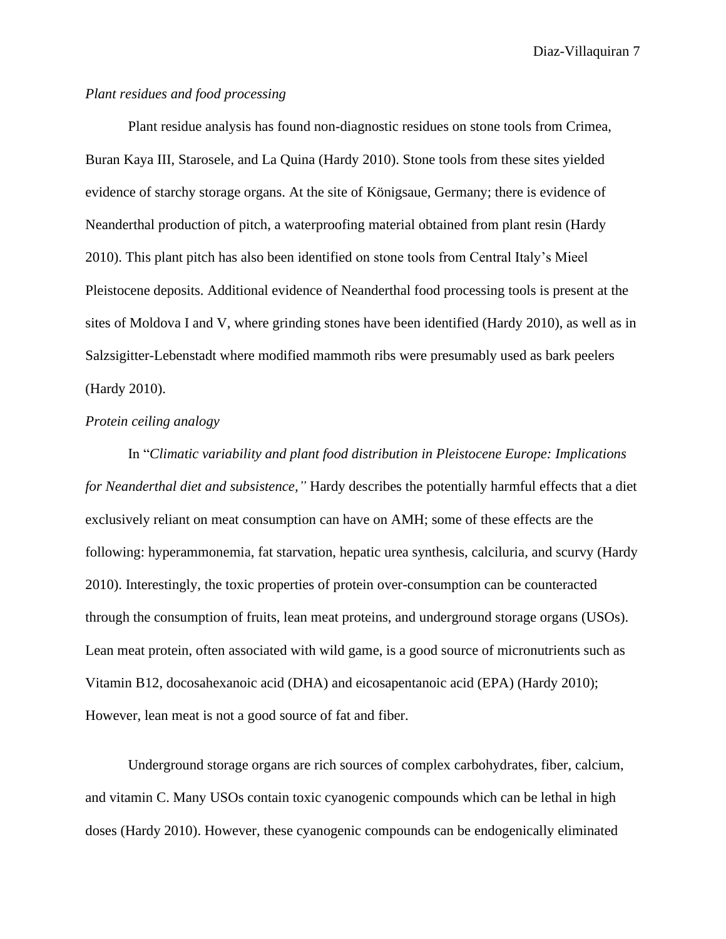# *Plant residues and food processing*

Plant residue analysis has found non-diagnostic residues on stone tools from Crimea, Buran Kaya III, Starosele, and La Quina (Hardy 2010). Stone tools from these sites yielded evidence of starchy storage organs. At the site of Königsaue, Germany; there is evidence of Neanderthal production of pitch, a waterproofing material obtained from plant resin (Hardy 2010). This plant pitch has also been identified on stone tools from Central Italy's Mieel Pleistocene deposits. Additional evidence of Neanderthal food processing tools is present at the sites of Moldova I and V, where grinding stones have been identified (Hardy 2010), as well as in Salzsigitter-Lebenstadt where modified mammoth ribs were presumably used as bark peelers (Hardy 2010).

### *Protein ceiling analogy*

In "*Climatic variability and plant food distribution in Pleistocene Europe: Implications for Neanderthal diet and subsistence,"* Hardy describes the potentially harmful effects that a diet exclusively reliant on meat consumption can have on AMH; some of these effects are the following: hyperammonemia, fat starvation, hepatic urea synthesis, calciluria, and scurvy (Hardy 2010). Interestingly, the toxic properties of protein over-consumption can be counteracted through the consumption of fruits, lean meat proteins, and underground storage organs (USOs). Lean meat protein, often associated with wild game, is a good source of micronutrients such as Vitamin B12, docosahexanoic acid (DHA) and eicosapentanoic acid (EPA) (Hardy 2010); However, lean meat is not a good source of fat and fiber.

Underground storage organs are rich sources of complex carbohydrates, fiber, calcium, and vitamin C. Many USOs contain toxic cyanogenic compounds which can be lethal in high doses (Hardy 2010). However, these cyanogenic compounds can be endogenically eliminated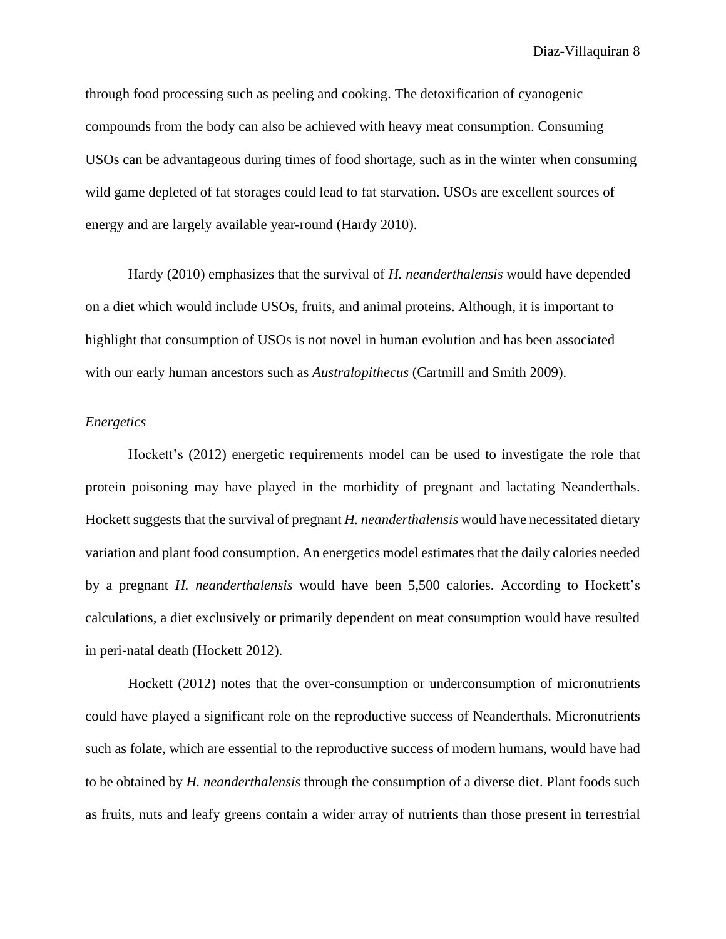through food processing such as peeling and cooking. The detoxification of cyanogenic compounds from the body can also be achieved with heavy meat consumption. Consuming USOs can be advantageous during times of food shortage, such as in the winter when consuming wild game depleted of fat storages could lead to fat starvation. USOs are excellent sources of energy and are largely available year-round (Hardy 2010).

Hardy (2010) emphasizes that the survival of *H. neanderthalensis* would have depended on a diet which would include USOs, fruits, and animal proteins. Although, it is important to highlight that consumption of USOs is not novel in human evolution and has been associated with our early human ancestors such as *Australopithecus* (Cartmill and Smith 2009).

## *Energetics*

Hockett's (2012) energetic requirements model can be used to investigate the role that protein poisoning may have played in the morbidity of pregnant and lactating Neanderthals. Hockett suggests that the survival of pregnant *H. neanderthalensis* would have necessitated dietary variation and plant food consumption. An energetics model estimates that the daily calories needed by a pregnant *H. neanderthalensis* would have been 5,500 calories. According to Hockett's calculations, a diet exclusively or primarily dependent on meat consumption would have resulted in peri-natal death (Hockett 2012).

Hockett (2012) notes that the over-consumption or underconsumption of micronutrients could have played a significant role on the reproductive success of Neanderthals. Micronutrients such as folate, which are essential to the reproductive success of modern humans, would have had to be obtained by *H. neanderthalensis* through the consumption of a diverse diet. Plant foods such as fruits, nuts and leafy greens contain a wider array of nutrients than those present in terrestrial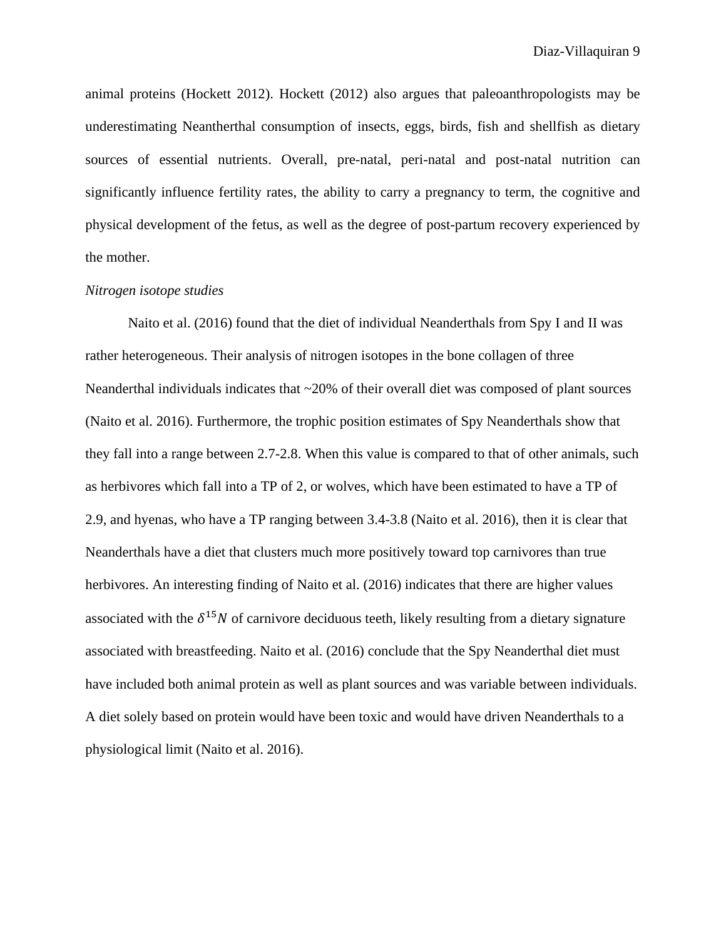animal proteins (Hockett 2012). Hockett (2012) also argues that paleoanthropologists may be underestimating Neantherthal consumption of insects, eggs, birds, fish and shellfish as dietary sources of essential nutrients. Overall, pre-natal, peri-natal and post-natal nutrition can significantly influence fertility rates, the ability to carry a pregnancy to term, the cognitive and physical development of the fetus, as well as the degree of post-partum recovery experienced by the mother.

### *Nitrogen isotope studies*

Naito et al. (2016) found that the diet of individual Neanderthals from Spy I and II was rather heterogeneous. Their analysis of nitrogen isotopes in the bone collagen of three Neanderthal individuals indicates that ~20% of their overall diet was composed of plant sources (Naito et al. 2016). Furthermore, the trophic position estimates of Spy Neanderthals show that they fall into a range between 2.7-2.8. When this value is compared to that of other animals, such as herbivores which fall into a TP of 2, or wolves, which have been estimated to have a TP of 2.9, and hyenas, who have a TP ranging between 3.4-3.8 (Naito et al. 2016), then it is clear that Neanderthals have a diet that clusters much more positively toward top carnivores than true herbivores. An interesting finding of Naito et al. (2016) indicates that there are higher values associated with the  $\delta^{15}N$  of carnivore deciduous teeth, likely resulting from a dietary signature associated with breastfeeding. Naito et al. (2016) conclude that the Spy Neanderthal diet must have included both animal protein as well as plant sources and was variable between individuals. A diet solely based on protein would have been toxic and would have driven Neanderthals to a physiological limit (Naito et al. 2016).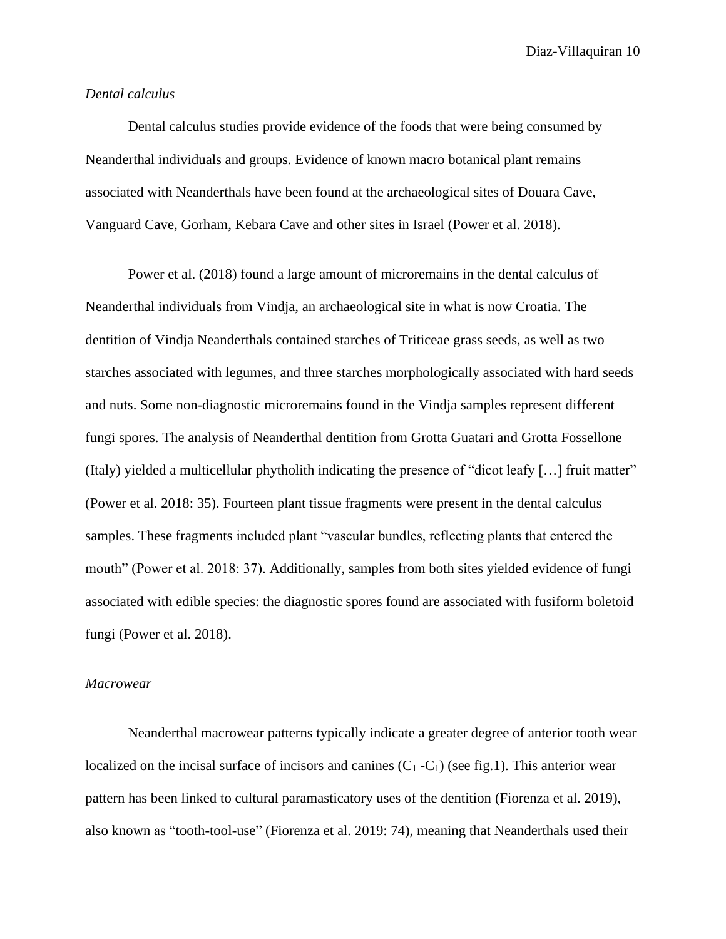## *Dental calculus*

Dental calculus studies provide evidence of the foods that were being consumed by Neanderthal individuals and groups. Evidence of known macro botanical plant remains associated with Neanderthals have been found at the archaeological sites of Douara Cave, Vanguard Cave, Gorham, Kebara Cave and other sites in Israel (Power et al. 2018).

Power et al. (2018) found a large amount of microremains in the dental calculus of Neanderthal individuals from Vindja, an archaeological site in what is now Croatia. The dentition of Vindja Neanderthals contained starches of Triticeae grass seeds, as well as two starches associated with legumes, and three starches morphologically associated with hard seeds and nuts. Some non-diagnostic microremains found in the Vindja samples represent different fungi spores. The analysis of Neanderthal dentition from Grotta Guatari and Grotta Fossellone (Italy) yielded a multicellular phytholith indicating the presence of "dicot leafy […] fruit matter" (Power et al. 2018: 35). Fourteen plant tissue fragments were present in the dental calculus samples. These fragments included plant "vascular bundles, reflecting plants that entered the mouth" (Power et al. 2018: 37). Additionally, samples from both sites yielded evidence of fungi associated with edible species: the diagnostic spores found are associated with fusiform boletoid fungi (Power et al. 2018).

#### *Macrowear*

Neanderthal macrowear patterns typically indicate a greater degree of anterior tooth wear localized on the incisal surface of incisors and canines  $(C_1 - C_1)$  (see fig.1). This anterior wear pattern has been linked to cultural paramasticatory uses of the dentition (Fiorenza et al. 2019), also known as "tooth-tool-use" (Fiorenza et al. 2019: 74), meaning that Neanderthals used their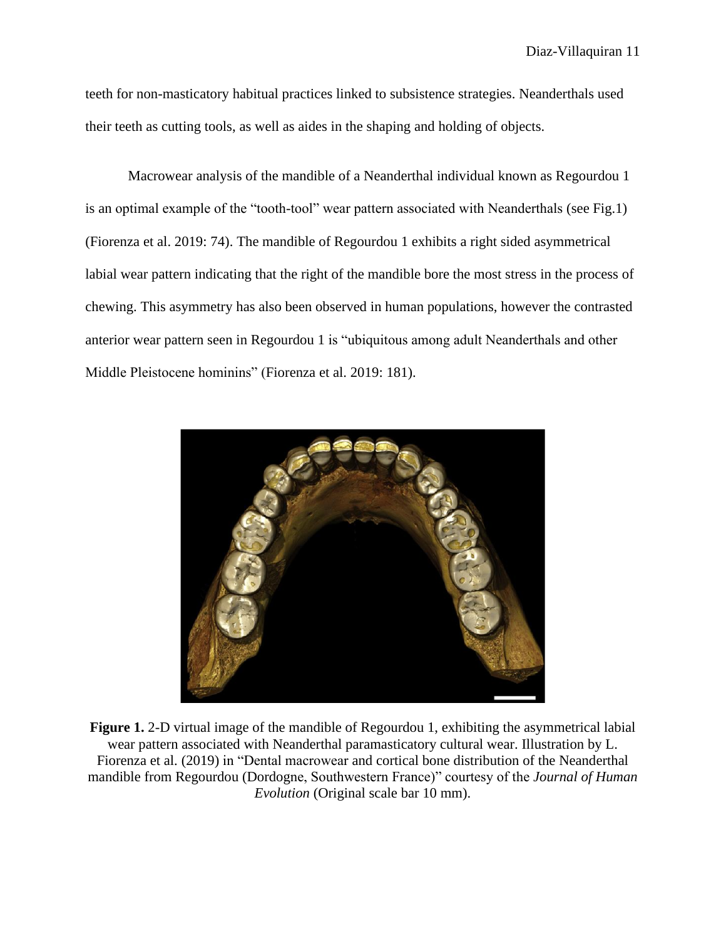teeth for non-masticatory habitual practices linked to subsistence strategies. Neanderthals used their teeth as cutting tools, as well as aides in the shaping and holding of objects.

Macrowear analysis of the mandible of a Neanderthal individual known as Regourdou 1 is an optimal example of the "tooth-tool" wear pattern associated with Neanderthals (see Fig.1) (Fiorenza et al. 2019: 74). The mandible of Regourdou 1 exhibits a right sided asymmetrical labial wear pattern indicating that the right of the mandible bore the most stress in the process of chewing. This asymmetry has also been observed in human populations, however the contrasted anterior wear pattern seen in Regourdou 1 is "ubiquitous among adult Neanderthals and other Middle Pleistocene hominins" (Fiorenza et al. 2019: 181).



**Figure 1.** 2-D virtual image of the mandible of Regourdou 1, exhibiting the asymmetrical labial wear pattern associated with Neanderthal paramasticatory cultural wear. Illustration by L. Fiorenza et al. (2019) in "Dental macrowear and cortical bone distribution of the Neanderthal mandible from Regourdou (Dordogne, Southwestern France)" courtesy of the *Journal of Human Evolution* (Original scale bar 10 mm).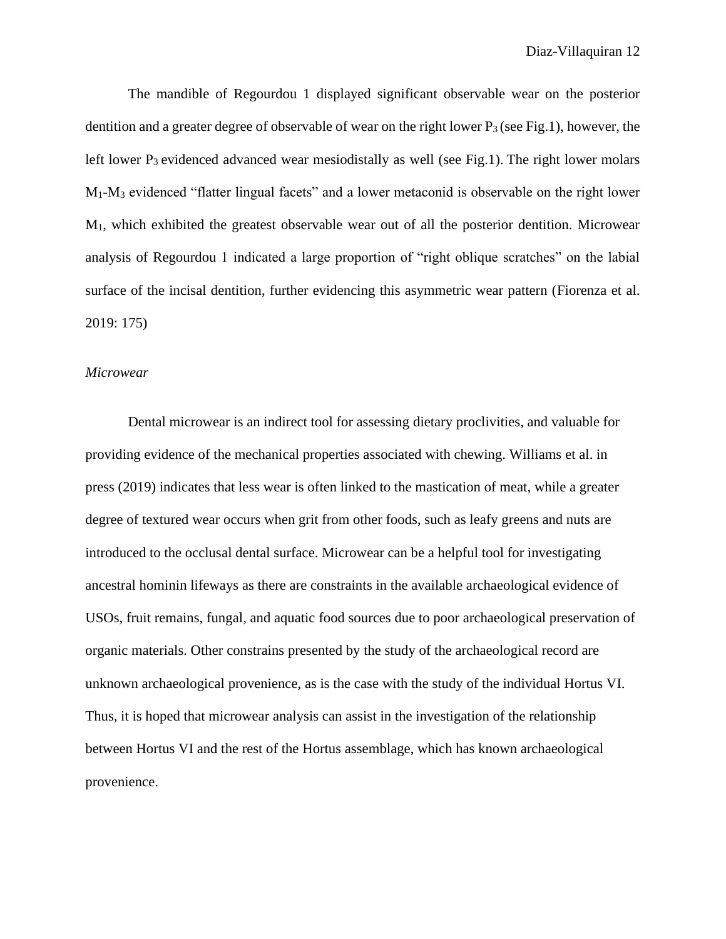The mandible of Regourdou 1 displayed significant observable wear on the posterior dentition and a greater degree of observable of wear on the right lower  $P_3$  (see Fig.1), however, the left lower  $P_3$  evidenced advanced wear mesiodistally as well (see Fig.1). The right lower molars M1-M<sup>3</sup> evidenced "flatter lingual facets" and a lower metaconid is observable on the right lower  $M_1$ , which exhibited the greatest observable wear out of all the posterior dentition. Microwear analysis of Regourdou 1 indicated a large proportion of "right oblique scratches" on the labial surface of the incisal dentition, further evidencing this asymmetric wear pattern (Fiorenza et al. 2019: 175)

#### *Microwear*

Dental microwear is an indirect tool for assessing dietary proclivities, and valuable for providing evidence of the mechanical properties associated with chewing. Williams et al. in press (2019) indicates that less wear is often linked to the mastication of meat, while a greater degree of textured wear occurs when grit from other foods, such as leafy greens and nuts are introduced to the occlusal dental surface. Microwear can be a helpful tool for investigating ancestral hominin lifeways as there are constraints in the available archaeological evidence of USOs, fruit remains, fungal, and aquatic food sources due to poor archaeological preservation of organic materials. Other constrains presented by the study of the archaeological record are unknown archaeological provenience, as is the case with the study of the individual Hortus VI. Thus, it is hoped that microwear analysis can assist in the investigation of the relationship between Hortus VI and the rest of the Hortus assemblage, which has known archaeological provenience.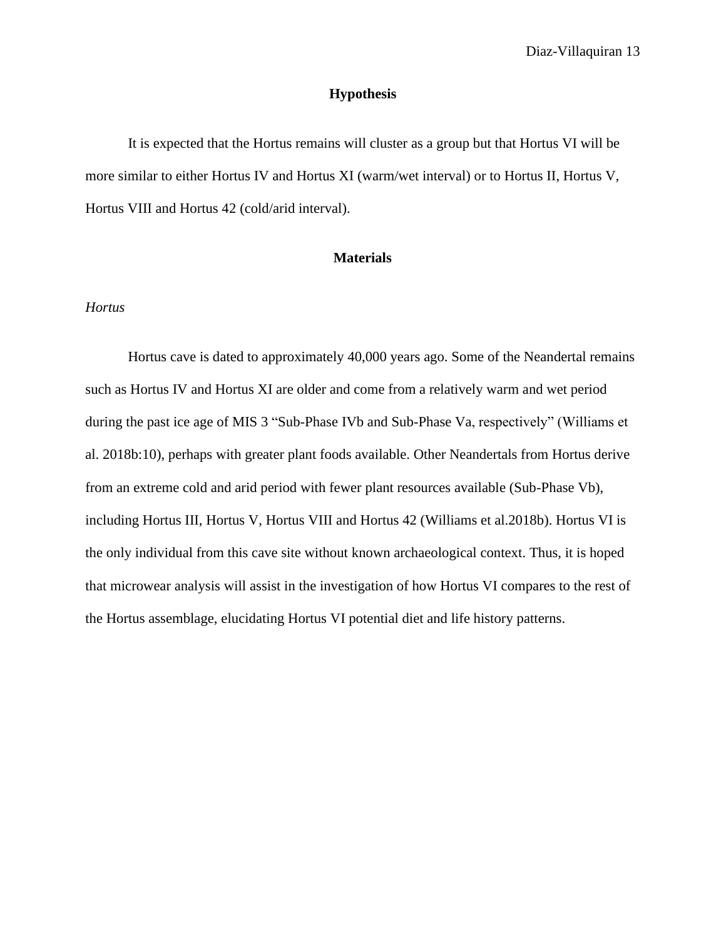## **Hypothesis**

It is expected that the Hortus remains will cluster as a group but that Hortus VI will be more similar to either Hortus IV and Hortus XI (warm/wet interval) or to Hortus II, Hortus V, Hortus VIII and Hortus 42 (cold/arid interval).

# **Materials**

# *Hortus*

Hortus cave is dated to approximately 40,000 years ago. Some of the Neandertal remains such as Hortus IV and Hortus XI are older and come from a relatively warm and wet period during the past ice age of MIS 3 "Sub-Phase IVb and Sub-Phase Va, respectively" (Williams et al. 2018b:10), perhaps with greater plant foods available. Other Neandertals from Hortus derive from an extreme cold and arid period with fewer plant resources available (Sub-Phase Vb), including Hortus III, Hortus V, Hortus VIII and Hortus 42 (Williams et al.2018b). Hortus VI is the only individual from this cave site without known archaeological context. Thus, it is hoped that microwear analysis will assist in the investigation of how Hortus VI compares to the rest of the Hortus assemblage, elucidating Hortus VI potential diet and life history patterns.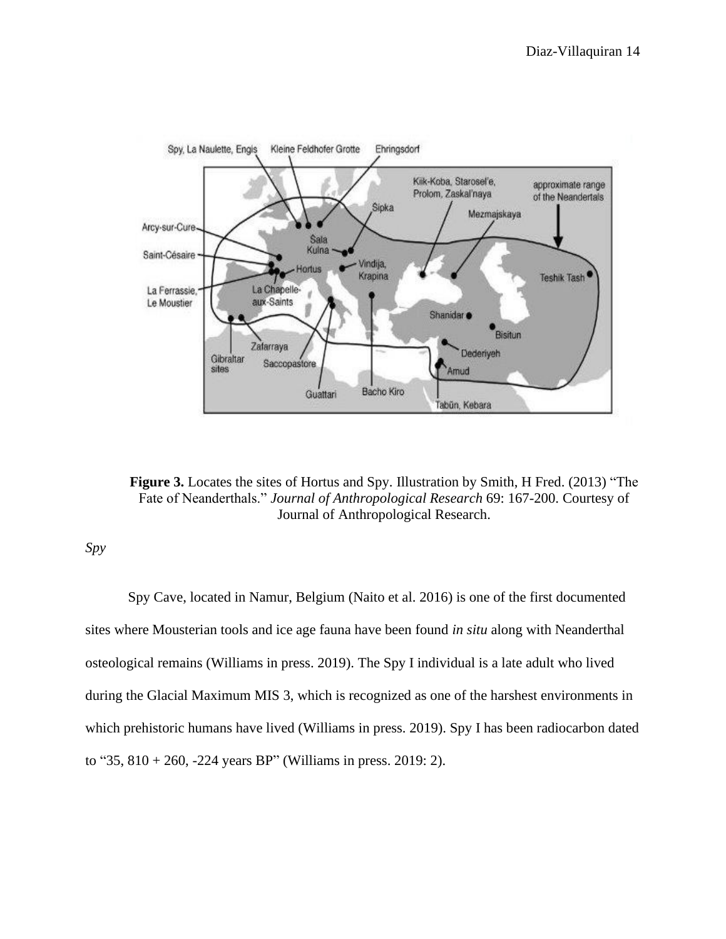

**Figure 3.** Locates the sites of Hortus and Spy. Illustration by Smith, H Fred. (2013) "The Fate of Neanderthals." *Journal of Anthropological Research* 69: 167-200. Courtesy of Journal of Anthropological Research.

*Spy*

Spy Cave, located in Namur, Belgium (Naito et al. 2016) is one of the first documented sites where Mousterian tools and ice age fauna have been found *in situ* along with Neanderthal osteological remains (Williams in press. 2019). The Spy I individual is a late adult who lived during the Glacial Maximum MIS 3, which is recognized as one of the harshest environments in which prehistoric humans have lived (Williams in press. 2019). Spy I has been radiocarbon dated to "35,  $810 + 260$ ,  $-224$  years BP" (Williams in press. 2019: 2).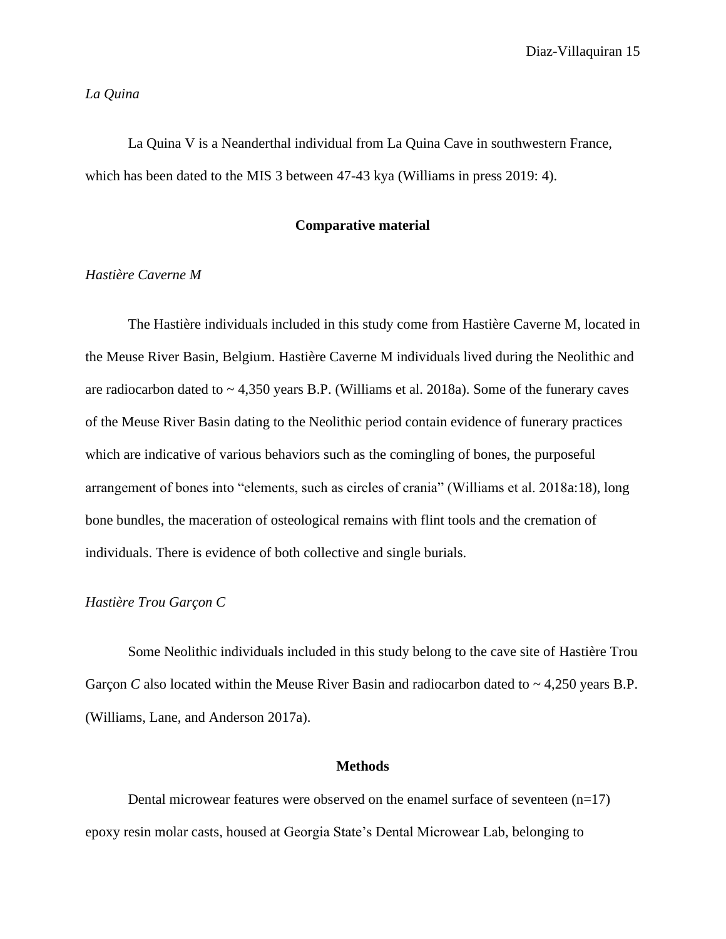### *La Quina*

La Quina V is a Neanderthal individual from La Quina Cave in southwestern France, which has been dated to the MIS 3 between 47-43 kya (Williams in press 2019: 4).

### **Comparative material**

# *Hastière Caverne M*

The Hastière individuals included in this study come from Hastière Caverne M, located in the Meuse River Basin, Belgium. Hastière Caverne M individuals lived during the Neolithic and are radiocarbon dated to  $\sim$  4,350 years B.P. (Williams et al. 2018a). Some of the funerary caves of the Meuse River Basin dating to the Neolithic period contain evidence of funerary practices which are indicative of various behaviors such as the comingling of bones, the purposeful arrangement of bones into "elements, such as circles of crania" (Williams et al. 2018a:18), long bone bundles, the maceration of osteological remains with flint tools and the cremation of individuals. There is evidence of both collective and single burials.

### *Hastière Trou Garçon C*

Some Neolithic individuals included in this study belong to the cave site of Hastière Trou Garçon *C* also located within the Meuse River Basin and radiocarbon dated to  $\sim$  4,250 years B.P. (Williams, Lane, and Anderson 2017a).

#### **Methods**

Dental microwear features were observed on the enamel surface of seventeen  $(n=17)$ epoxy resin molar casts, housed at Georgia State's Dental Microwear Lab, belonging to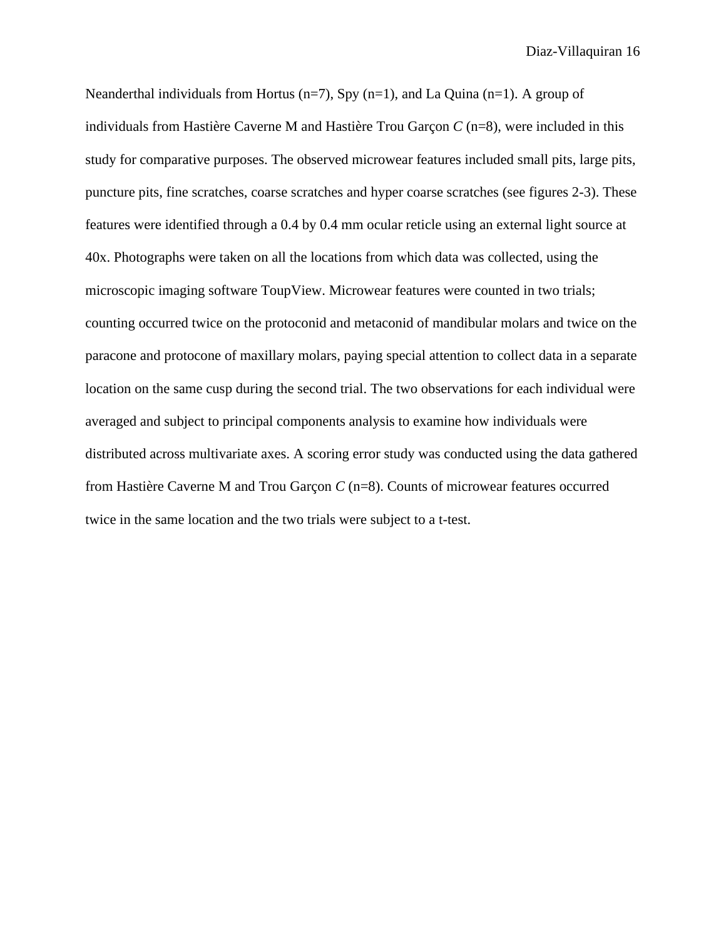Neanderthal individuals from Hortus ( $n=7$ ), Spy ( $n=1$ ), and La Quina ( $n=1$ ). A group of individuals from Hastière Caverne M and Hastière Trou Garçon *C* (n=8), were included in this study for comparative purposes. The observed microwear features included small pits, large pits, puncture pits, fine scratches, coarse scratches and hyper coarse scratches (see figures 2-3). These features were identified through a 0.4 by 0.4 mm ocular reticle using an external light source at 40x. Photographs were taken on all the locations from which data was collected, using the microscopic imaging software ToupView. Microwear features were counted in two trials; counting occurred twice on the protoconid and metaconid of mandibular molars and twice on the paracone and protocone of maxillary molars, paying special attention to collect data in a separate location on the same cusp during the second trial. The two observations for each individual were averaged and subject to principal components analysis to examine how individuals were distributed across multivariate axes. A scoring error study was conducted using the data gathered from Hastière Caverne M and Trou Garçon *C* (n=8). Counts of microwear features occurred twice in the same location and the two trials were subject to a t-test.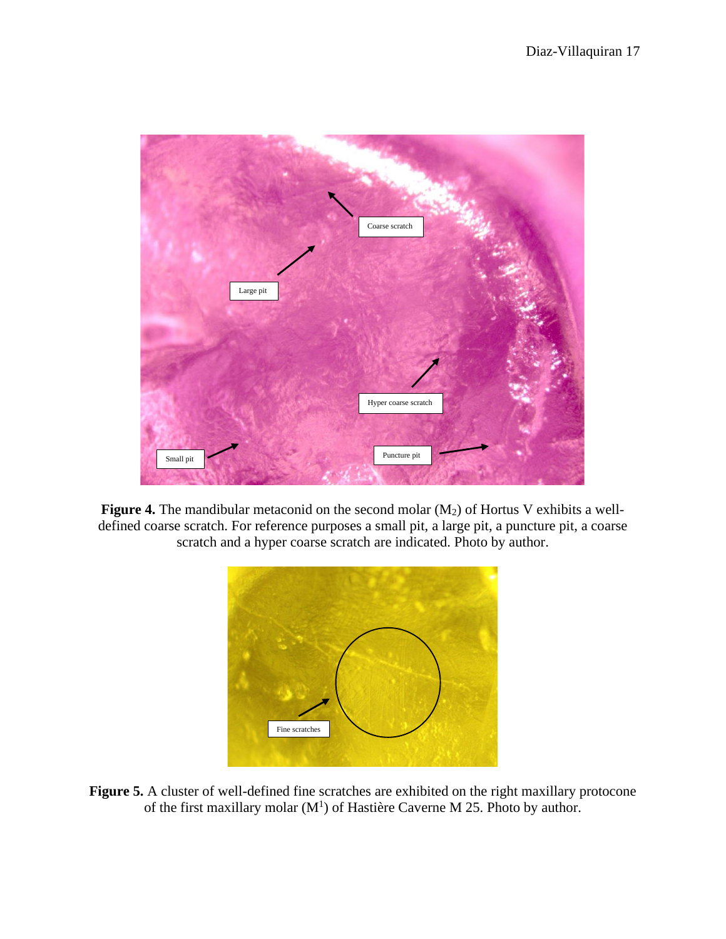

**Figure 4.** The mandibular metaconid on the second molar (M<sub>2</sub>) of Hortus V exhibits a welldefined coarse scratch. For reference purposes a small pit, a large pit, a puncture pit, a coarse scratch and a hyper coarse scratch are indicated. Photo by author.



Figure 5. A cluster of well-defined fine scratches are exhibited on the right maxillary protocone of the first maxillary molar  $(M<sup>1</sup>)$  of Hastière Caverne M 25. Photo by author.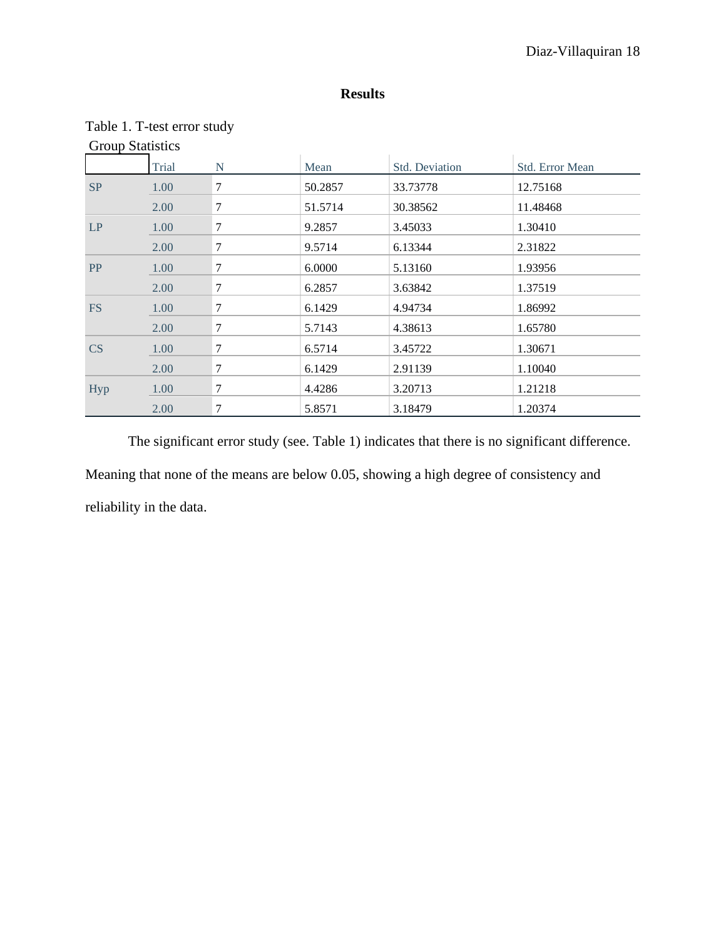# **Results**

| <b>Group Statistics</b> |       |   |         |                |                 |  |
|-------------------------|-------|---|---------|----------------|-----------------|--|
|                         | Trial | N | Mean    | Std. Deviation | Std. Error Mean |  |
| SP                      | 1.00  | 7 | 50.2857 | 33.73778       | 12.75168        |  |
|                         | 2.00  | 7 | 51.5714 | 30.38562       | 11.48468        |  |
| LP                      | 1.00  | 7 | 9.2857  | 3.45033        | 1.30410         |  |
|                         | 2.00  | 7 | 9.5714  | 6.13344        | 2.31822         |  |
| PP                      | 1.00  | 7 | 6.0000  | 5.13160        | 1.93956         |  |
|                         | 2.00  | 7 | 6.2857  | 3.63842        | 1.37519         |  |
| <b>FS</b>               | 1.00  | 7 | 6.1429  | 4.94734        | 1.86992         |  |
|                         | 2.00  | 7 | 5.7143  | 4.38613        | 1.65780         |  |
| CS                      | 1.00  | 7 | 6.5714  | 3.45722        | 1.30671         |  |
|                         | 2.00  | 7 | 6.1429  | 2.91139        | 1.10040         |  |
| Hyp                     | 1.00  | 7 | 4.4286  | 3.20713        | 1.21218         |  |
|                         | 2.00  | 7 | 5.8571  | 3.18479        | 1.20374         |  |

# Table 1. T-test error study

The significant error study (see. Table 1) indicates that there is no significant difference. Meaning that none of the means are below 0.05, showing a high degree of consistency and reliability in the data.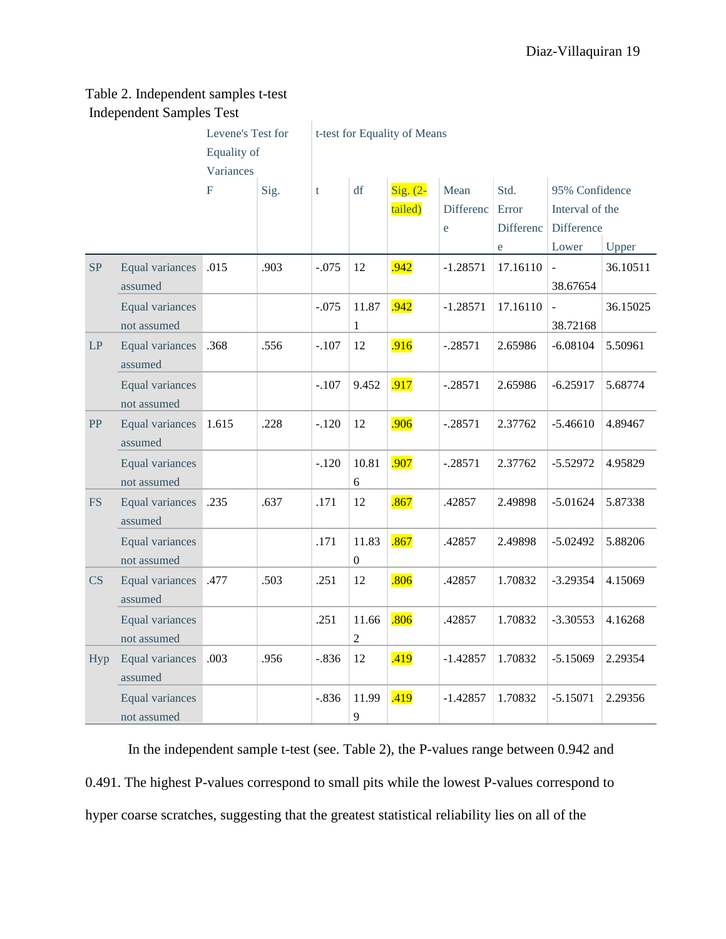# Table 2. Independent samples t-test Independent Samples Test

|            |                                       | Levene's Test for |      | t-test for Equality of Means |                           |            |            |           |                            |          |
|------------|---------------------------------------|-------------------|------|------------------------------|---------------------------|------------|------------|-----------|----------------------------|----------|
|            | Equality of                           |                   |      |                              |                           |            |            |           |                            |          |
|            |                                       | Variances         |      |                              |                           |            |            |           |                            |          |
|            |                                       | $\mathbf F$       | Sig. | t                            | df                        | Sig. $(2-$ | Mean       | Std.      | 95% Confidence             |          |
|            |                                       |                   |      |                              |                           | tailed)    | Differenc  | Error     | Interval of the            |          |
|            |                                       |                   |      |                              |                           |            | e          | Differenc | Difference                 |          |
|            |                                       |                   |      |                              |                           |            |            | e         | Lower                      | Upper    |
| SP         | Equal variances<br>assumed            | .015              | .903 | $-.075$                      | 12                        | .942       | $-1.28571$ | 17.16110  | $\Box$<br>38.67654         | 36.10511 |
|            | Equal variances<br>not assumed        |                   |      | $-.075$                      | 11.87<br>$\mathbf{1}$     | .942       | $-1.28571$ | 17.16110  | $\blacksquare$<br>38.72168 | 36.15025 |
| LP         | Equal variances<br>assumed            | .368              | .556 | $-.107$                      | 12                        | .916       | $-.28571$  | 2.65986   | $-6.08104$                 | 5.50961  |
|            | <b>Equal variances</b><br>not assumed |                   |      | $-.107$                      | 9.452                     | .917       | $-.28571$  | 2.65986   | $-6.25917$                 | 5.68774  |
| PP         | Equal variances<br>assumed            | 1.615             | .228 | $-.120$                      | 12                        | .906       | $-.28571$  | 2.37762   | $-5.46610$                 | 4.89467  |
|            | Equal variances<br>not assumed        |                   |      | $-.120$                      | 10.81<br>6                | .907       | $-.28571$  | 2.37762   | $-5.52972$                 | 4.95829  |
| <b>FS</b>  | Equal variances<br>assumed            | .235              | .637 | .171                         | 12                        | .867       | .42857     | 2.49898   | $-5.01624$                 | 5.87338  |
|            | Equal variances<br>not assumed        |                   |      | .171                         | 11.83<br>$\boldsymbol{0}$ | .867       | .42857     | 2.49898   | $-5.02492$                 | 5.88206  |
| CS         | Equal variances<br>assumed            | .477              | .503 | .251                         | 12                        | .806       | .42857     | 1.70832   | $-3.29354$                 | 4.15069  |
|            | Equal variances<br>not assumed        |                   |      | .251                         | 11.66<br>$\overline{c}$   | .806       | .42857     | 1.70832   | $-3.30553$                 | 4.16268  |
| <b>Hyp</b> | Equal variances<br>assumed            | .003              | .956 | $-.836$                      | 12                        | .419       | $-1.42857$ | 1.70832   | $-5.15069$                 | 2.29354  |
|            | <b>Equal variances</b><br>not assumed |                   |      | $-.836$                      | 11.99<br>9                | .419       | $-1.42857$ | 1.70832   | $-5.15071$                 | 2.29356  |

In the independent sample t-test (see. Table 2), the P-values range between 0.942 and 0.491. The highest P-values correspond to small pits while the lowest P-values correspond to hyper coarse scratches, suggesting that the greatest statistical reliability lies on all of the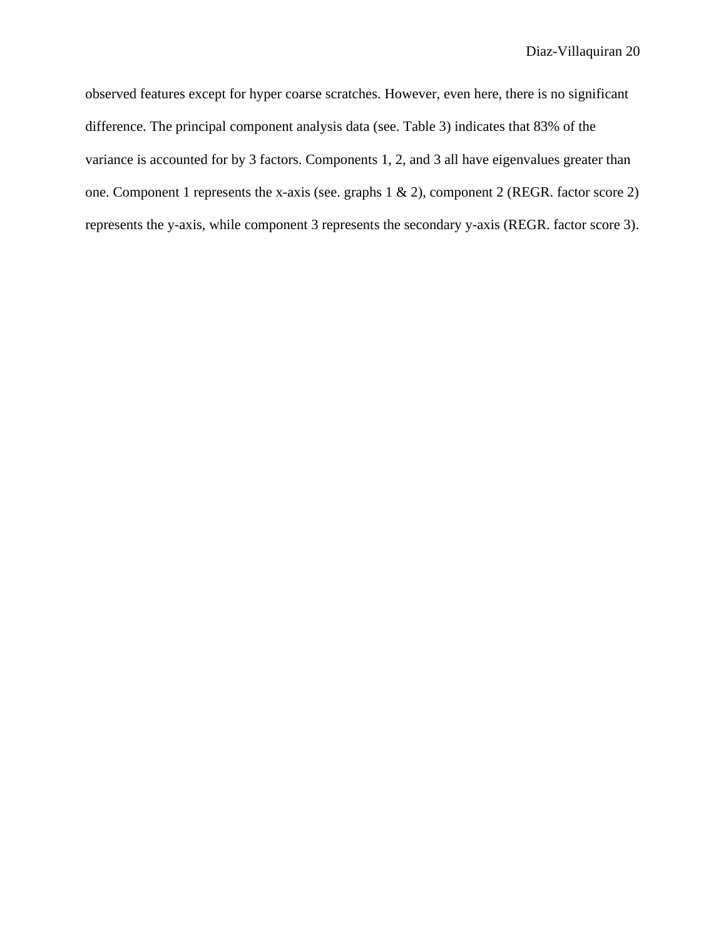observed features except for hyper coarse scratches. However, even here, there is no significant difference. The principal component analysis data (see. Table 3) indicates that 83% of the variance is accounted for by 3 factors. Components 1, 2, and 3 all have eigenvalues greater than one. Component 1 represents the x-axis (see. graphs 1 & 2), component 2 (REGR. factor score 2) represents the y-axis, while component 3 represents the secondary y-axis (REGR. factor score 3).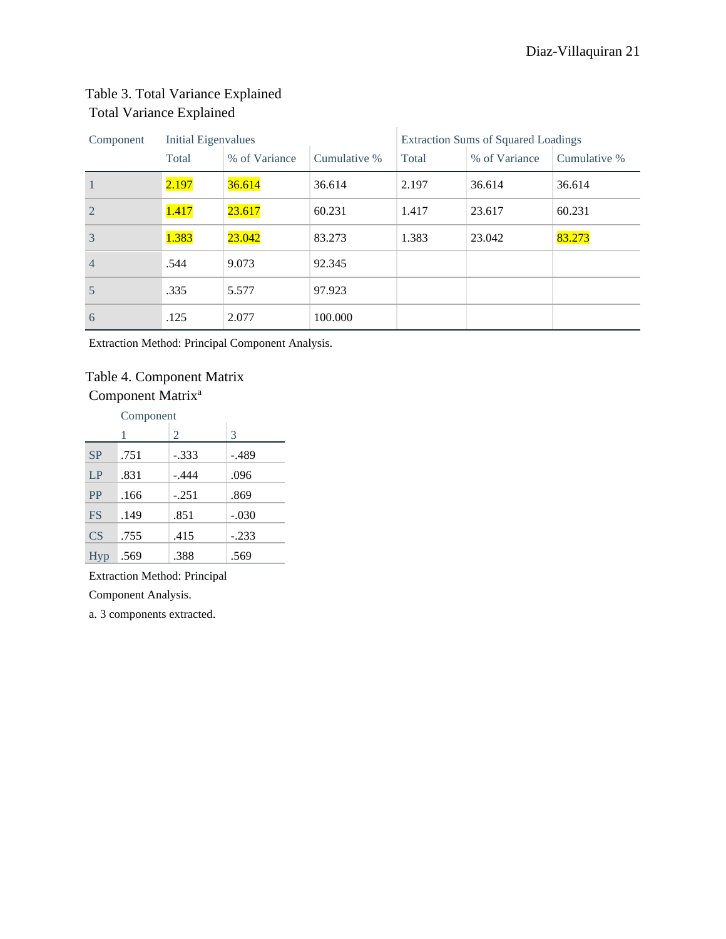# Table 3. Total Variance Explained Total Variance Explained

| Component      | <b>Initial Eigenvalues</b> |               |              | <b>Extraction Sums of Squared Loadings</b> |               |              |
|----------------|----------------------------|---------------|--------------|--------------------------------------------|---------------|--------------|
|                | Total                      | % of Variance | Cumulative % | Total                                      | % of Variance | Cumulative % |
| $\mathbf{1}$   | 2.197                      | 36.614        | 36.614       | 2.197                                      | 36.614        | 36.614       |
| $\overline{2}$ | 1.417                      | 23.617        | 60.231       | 1.417                                      | 23.617        | 60.231       |
| 3              | 1.383                      | 23.042        | 83.273       | 1.383                                      | 23.042        | 83.273       |
| $\overline{4}$ | .544                       | 9.073         | 92.345       |                                            |               |              |
| 5              | .335                       | 5.577         | 97.923       |                                            |               |              |
| 6              | .125                       | 2.077         | 100.000      |                                            |               |              |

Extraction Method: Principal Component Analysis.

# Table 4. Component Matrix Component Matrix<sup>a</sup>

Component

|           | 1    | 2       | 3       |
|-----------|------|---------|---------|
| <b>SP</b> | .751 | $-.333$ | $-.489$ |
| LP        | .831 | -.444   | .096    |
| <b>PP</b> | .166 | $-.251$ | .869    |
| <b>FS</b> | .149 | .851    | $-.030$ |
| CS        | .755 | .415    | $-.233$ |
| Hyp       | .569 | .388    | .569    |

Extraction Method: Principal

Component Analysis.

a. 3 components extracted.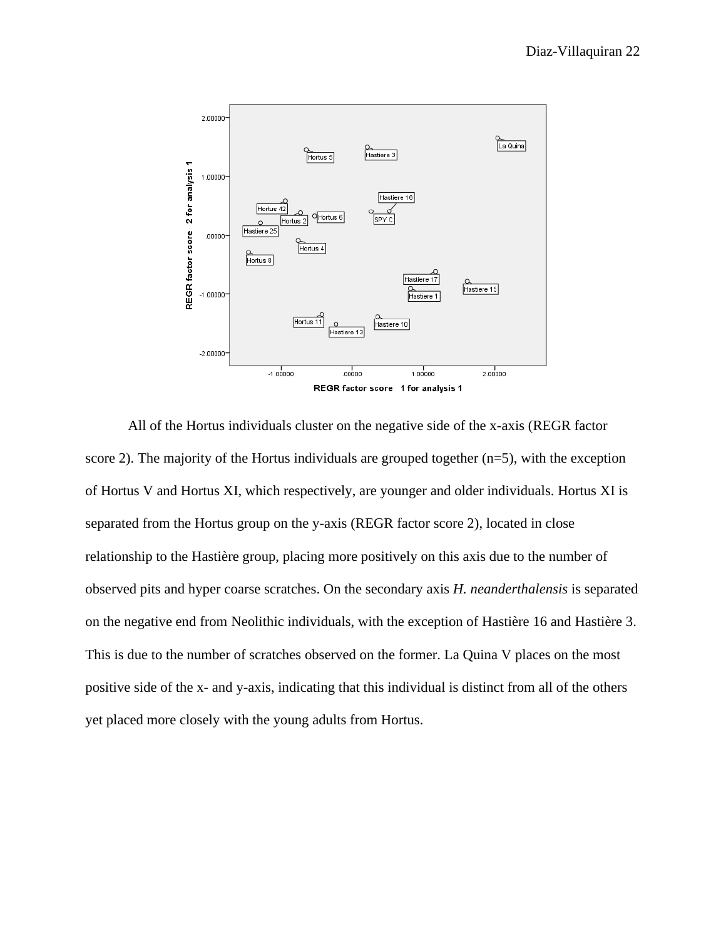

All of the Hortus individuals cluster on the negative side of the x-axis (REGR factor score 2). The majority of the Hortus individuals are grouped together  $(n=5)$ , with the exception of Hortus V and Hortus XI, which respectively, are younger and older individuals. Hortus XI is separated from the Hortus group on the y-axis (REGR factor score 2), located in close relationship to the Hastière group, placing more positively on this axis due to the number of observed pits and hyper coarse scratches. On the secondary axis *H. neanderthalensis* is separated on the negative end from Neolithic individuals, with the exception of Hastière 16 and Hastière 3. This is due to the number of scratches observed on the former. La Quina V places on the most positive side of the x- and y-axis, indicating that this individual is distinct from all of the others yet placed more closely with the young adults from Hortus.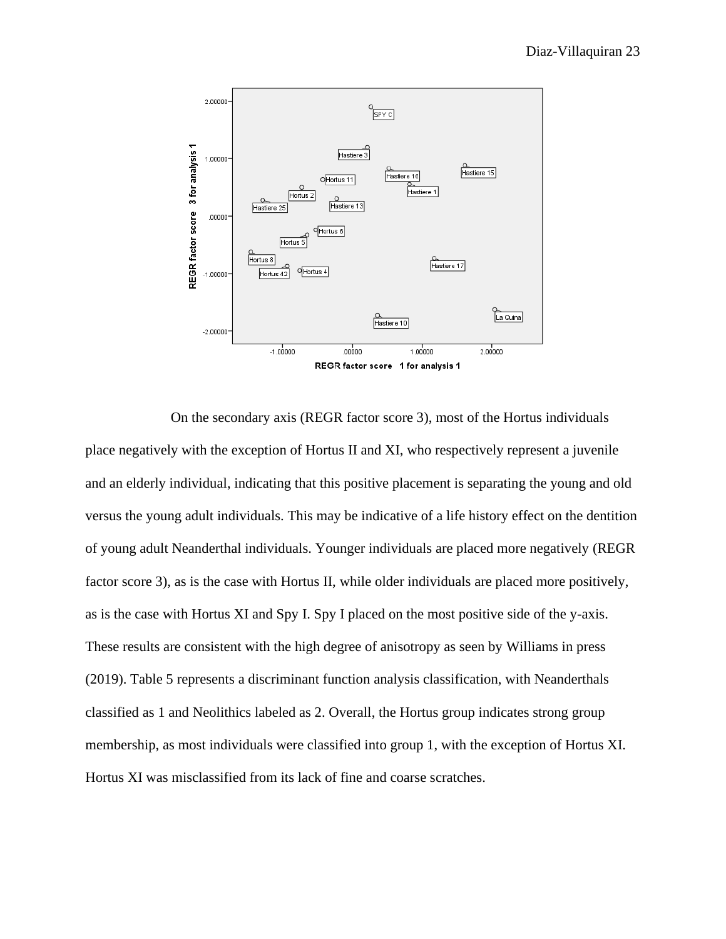

On the secondary axis (REGR factor score 3), most of the Hortus individuals place negatively with the exception of Hortus II and XI, who respectively represent a juvenile and an elderly individual, indicating that this positive placement is separating the young and old versus the young adult individuals. This may be indicative of a life history effect on the dentition of young adult Neanderthal individuals. Younger individuals are placed more negatively (REGR factor score 3), as is the case with Hortus II, while older individuals are placed more positively, as is the case with Hortus XI and Spy I. Spy I placed on the most positive side of the y-axis. These results are consistent with the high degree of anisotropy as seen by Williams in press (2019). Table 5 represents a discriminant function analysis classification, with Neanderthals classified as 1 and Neolithics labeled as 2. Overall, the Hortus group indicates strong group membership, as most individuals were classified into group 1, with the exception of Hortus XI. Hortus XI was misclassified from its lack of fine and coarse scratches.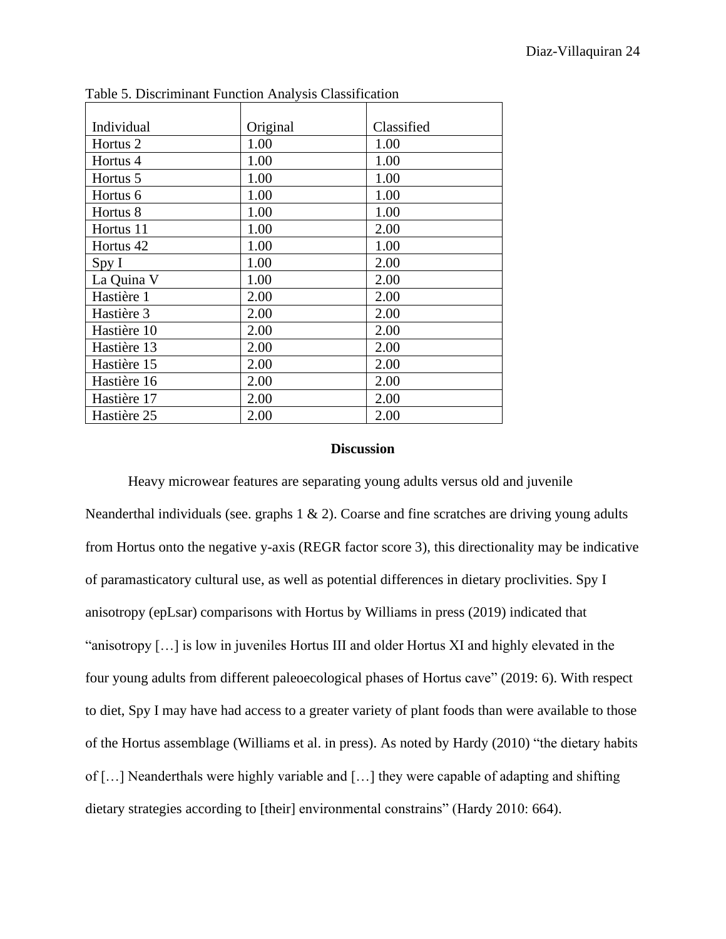| Individual          | Original | Classified |
|---------------------|----------|------------|
| Hortus <sub>2</sub> | 1.00     | 1.00       |
| Hortus 4            | 1.00     | 1.00       |
| Hortus 5            | 1.00     | 1.00       |
| Hortus <sub>6</sub> | 1.00     | 1.00       |
| Hortus 8            | 1.00     | 1.00       |
| Hortus 11           | 1.00     | 2.00       |
| Hortus 42           | 1.00     | 1.00       |
| SpyI                | 1.00     | 2.00       |
| La Quina V          | 1.00     | 2.00       |
| Hastière 1          | 2.00     | 2.00       |
| Hastière 3          | 2.00     | 2.00       |
| Hastière 10         | 2.00     | 2.00       |
| Hastière 13         | 2.00     | 2.00       |
| Hastière 15         | 2.00     | 2.00       |
| Hastière 16         | 2.00     | 2.00       |
| Hastière 17         | 2.00     | 2.00       |
| Hastière 25         | 2.00     | 2.00       |

Table 5. Discriminant Function Analysis Classification

#### **Discussion**

Heavy microwear features are separating young adults versus old and juvenile Neanderthal individuals (see. graphs 1 & 2). Coarse and fine scratches are driving young adults from Hortus onto the negative y-axis (REGR factor score 3), this directionality may be indicative of paramasticatory cultural use, as well as potential differences in dietary proclivities. Spy I anisotropy (epLsar) comparisons with Hortus by Williams in press (2019) indicated that "anisotropy […] is low in juveniles Hortus III and older Hortus XI and highly elevated in the four young adults from different paleoecological phases of Hortus cave" (2019: 6). With respect to diet, Spy I may have had access to a greater variety of plant foods than were available to those of the Hortus assemblage (Williams et al. in press). As noted by Hardy (2010) "the dietary habits of […] Neanderthals were highly variable and […] they were capable of adapting and shifting dietary strategies according to [their] environmental constrains" (Hardy 2010: 664).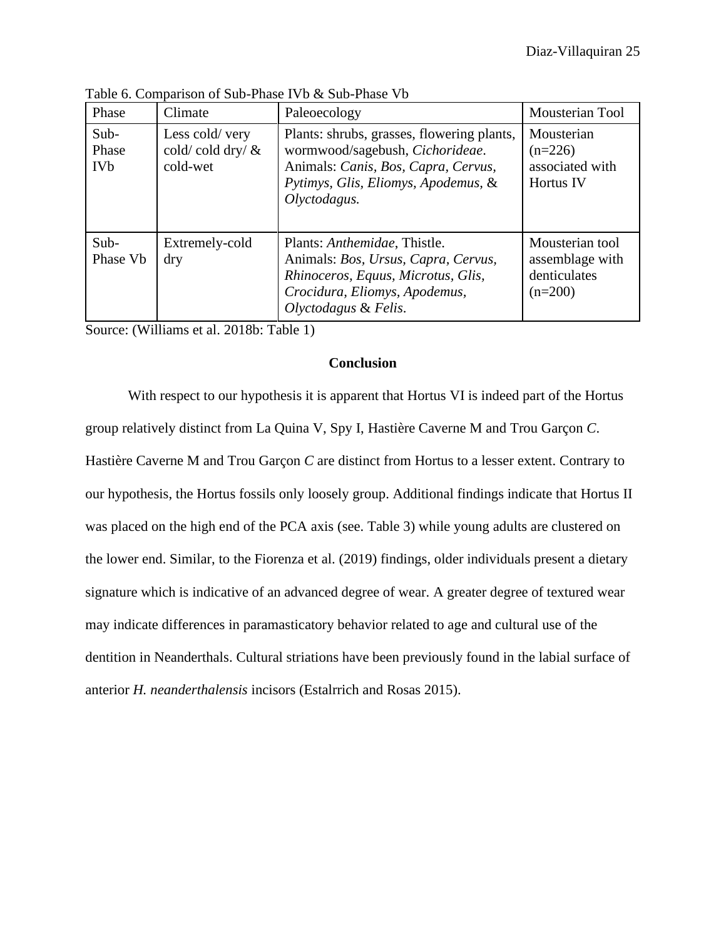| Phase                                  | Climate                                           | Paleoecology                                                                                                                                                                | <b>Mousterian Tool</b>                                          |
|----------------------------------------|---------------------------------------------------|-----------------------------------------------------------------------------------------------------------------------------------------------------------------------------|-----------------------------------------------------------------|
| Sub-<br>Phase<br><b>IV<sub>b</sub></b> | Less cold/very<br>cold/cold dry/ $\&$<br>cold-wet | Plants: shrubs, grasses, flowering plants,<br>wormwood/sagebush, Cichorideae.<br>Animals: Canis, Bos, Capra, Cervus,<br>Pytimys, Glis, Eliomys, Apodemus, &<br>Olyctodagus. | Mousterian<br>$(n=226)$<br>associated with<br>Hortus IV         |
| Sub-<br>Phase Vb                       | Extremely-cold<br>dry                             | Plants: Anthemidae, Thistle.<br>Animals: Bos, Ursus, Capra, Cervus,<br>Rhinoceros, Equus, Microtus, Glis,<br>Crocidura, Eliomys, Apodemus,<br>Olyctodagus & Felis.          | Mousterian tool<br>assemblage with<br>denticulates<br>$(n=200)$ |

Table 6. Comparison of Sub-Phase IVb & Sub-Phase Vb

Source: (Williams et al. 2018b: Table 1)

# **Conclusion**

With respect to our hypothesis it is apparent that Hortus VI is indeed part of the Hortus group relatively distinct from La Quina V, Spy I, Hastière Caverne M and Trou Garçon *C*. Hastière Caverne M and Trou Garçon *C* are distinct from Hortus to a lesser extent. Contrary to our hypothesis, the Hortus fossils only loosely group. Additional findings indicate that Hortus II was placed on the high end of the PCA axis (see. Table 3) while young adults are clustered on the lower end. Similar, to the Fiorenza et al. (2019) findings, older individuals present a dietary signature which is indicative of an advanced degree of wear. A greater degree of textured wear may indicate differences in paramasticatory behavior related to age and cultural use of the dentition in Neanderthals. Cultural striations have been previously found in the labial surface of anterior *H. neanderthalensis* incisors (Estalrrich and Rosas 2015).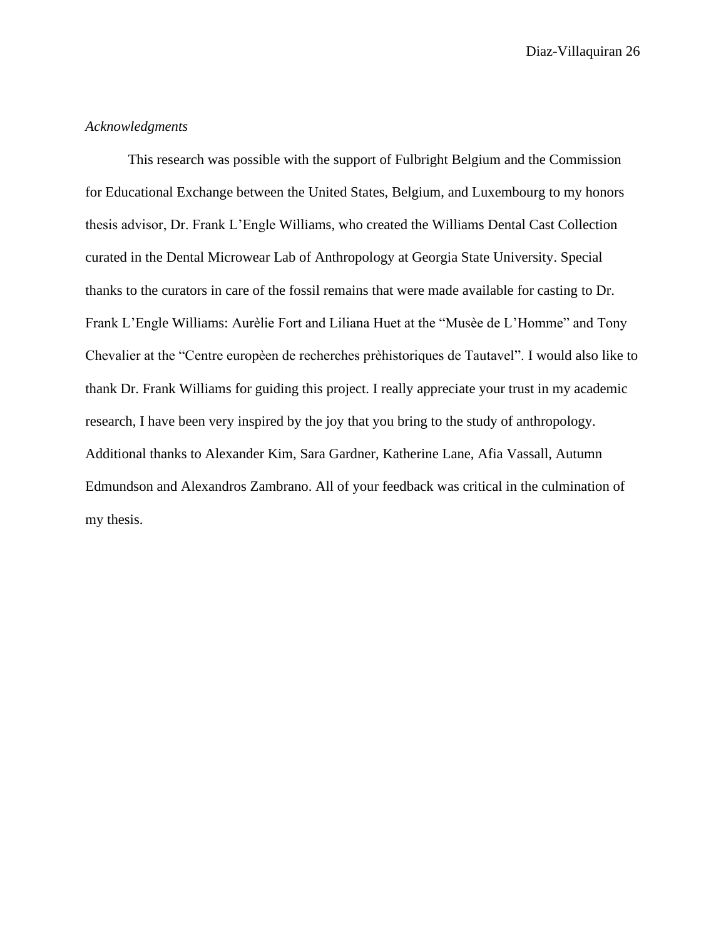# *Acknowledgments*

This research was possible with the support of Fulbright Belgium and the Commission for Educational Exchange between the United States, Belgium, and Luxembourg to my honors thesis advisor, Dr. Frank L'Engle Williams, who created the Williams Dental Cast Collection curated in the Dental Microwear Lab of Anthropology at Georgia State University. Special thanks to the curators in care of the fossil remains that were made available for casting to Dr. Frank L'Engle Williams: Aurèlie Fort and Liliana Huet at the "Musèe de L'Homme" and Tony Chevalier at the "Centre europèen de recherches prèhistoriques de Tautavel". I would also like to thank Dr. Frank Williams for guiding this project. I really appreciate your trust in my academic research, I have been very inspired by the joy that you bring to the study of anthropology. Additional thanks to Alexander Kim, Sara Gardner, Katherine Lane, Afia Vassall, Autumn Edmundson and Alexandros Zambrano. All of your feedback was critical in the culmination of my thesis.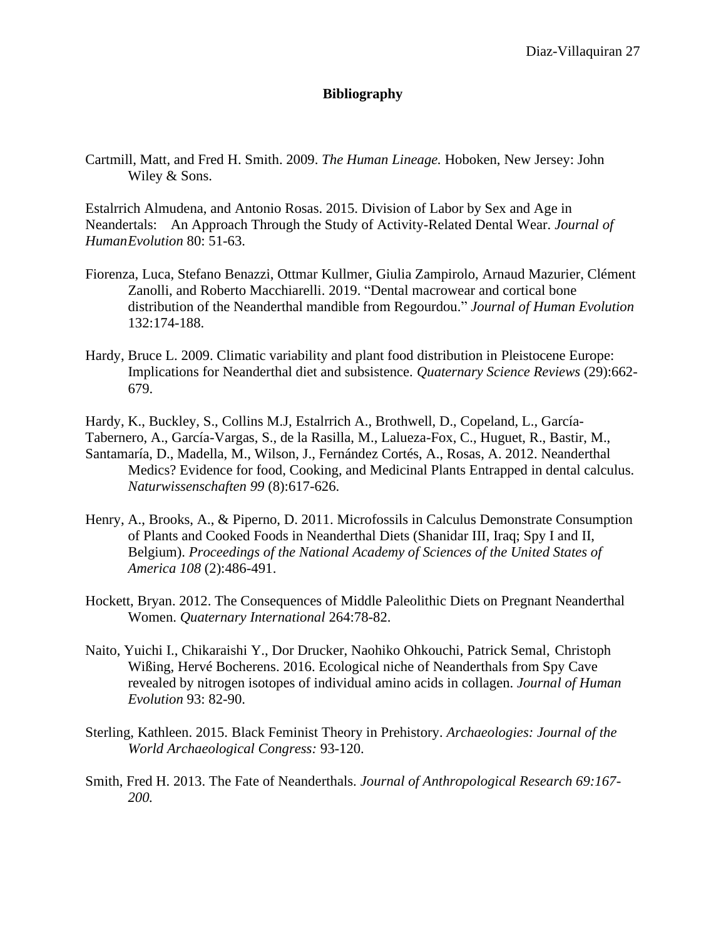# **Bibliography**

Cartmill, Matt, and Fred H. Smith. 2009. *The Human Lineage.* Hoboken, New Jersey: John Wiley & Sons.

Estalrrich Almudena, and Antonio Rosas. 2015. Division of Labor by Sex and Age in Neandertals: An Approach Through the Study of Activity-Related Dental Wear. *Journal of HumanEvolution* 80: 51-63.

- Fiorenza, Luca, Stefano Benazzi, Ottmar Kullmer, Giulia Zampirolo, Arnaud Mazurier, Clément Zanolli, and Roberto Macchiarelli. 2019. "Dental macrowear and cortical bone distribution of the Neanderthal mandible from Regourdou." *Journal of Human Evolution* 132:174-188.
- Hardy, Bruce L. 2009. Climatic variability and plant food distribution in Pleistocene Europe: Implications for Neanderthal diet and subsistence. *Quaternary Science Reviews* (29):662- 679.
- Hardy, K., Buckley, S., Collins M.J, Estalrrich A., Brothwell, D., Copeland, L., García-
- Tabernero, A., García-Vargas, S., de la Rasilla, M., Lalueza-Fox, C., Huguet, R., Bastir, M., Santamaría, D., Madella, M., Wilson, J., Fernández Cortés, A., Rosas, A. 2012. Neanderthal Medics? Evidence for food, Cooking, and Medicinal Plants Entrapped in dental calculus. *Naturwissenschaften 99* (8):617-626.
- Henry, A., Brooks, A., & Piperno, D. 2011. Microfossils in Calculus Demonstrate Consumption of Plants and Cooked Foods in Neanderthal Diets (Shanidar III, Iraq; Spy I and II, Belgium). *Proceedings of the National Academy of Sciences of the United States of America 108* (2):486-491.
- Hockett, Bryan. 2012. The Consequences of Middle Paleolithic Diets on Pregnant Neanderthal Women. *Quaternary International* 264:78-82.
- Naito, Yuichi I., Chikaraishi Y., Dor Drucker, Naohiko Ohkouchi, Patrick Semal, Christoph Wißing, Hervé Bocherens. 2016. Ecological niche of Neanderthals from Spy Cave revealed by nitrogen isotopes of individual amino acids in collagen. *Journal of Human Evolution* 93: 82-90.
- Sterling, Kathleen. 2015. Black Feminist Theory in Prehistory. *Archaeologies: Journal of the World Archaeological Congress:* 93-120.
- Smith, Fred H. 2013. The Fate of Neanderthals. *Journal of Anthropological Research 69:167- 200.*